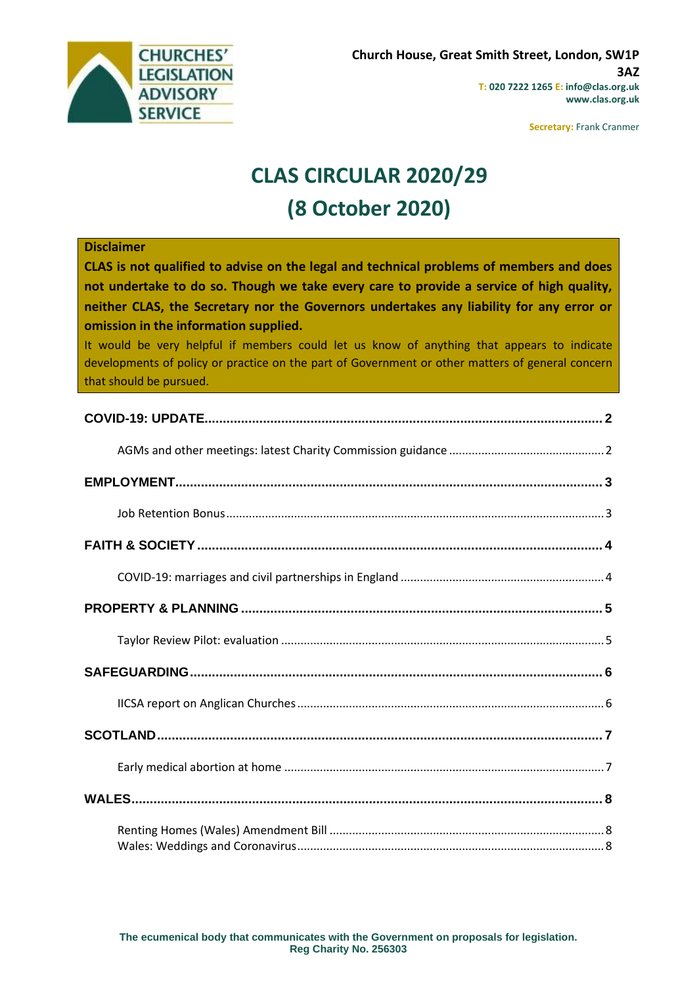

**Secretary:** Frank Cranmer

# **CLAS CIRCULAR 2020/29 (8 October 2020)**

#### **Disclaimer**

**CLAS is not qualified to advise on the legal and technical problems of members and does not undertake to do so. Though we take every care to provide a service of high quality, neither CLAS, the Secretary nor the Governors undertakes any liability for any error or omission in the information supplied.**

It would be very helpful if members could let us know of anything that appears to indicate developments of policy or practice on the part of Government or other matters of general concern that should be pursued.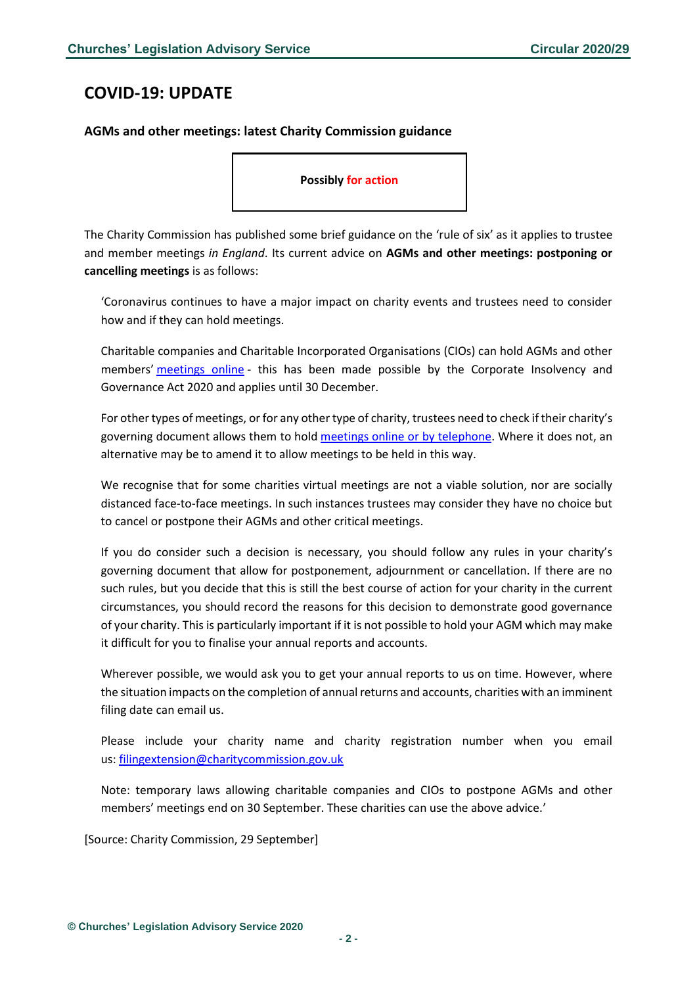# <span id="page-1-0"></span>**COVID-19: UPDATE**

#### <span id="page-1-1"></span>**AGMs and other meetings: latest Charity Commission guidance**

**Possibly for action**

The Charity Commission has published some brief guidance on the 'rule of six' as it applies to trustee and member meetings *in England*. Its current advice on **AGMs and other meetings: postponing or cancelling meetings** is as follows:

'Coronavirus continues to have a major impact on charity events and trustees need to consider how and if they can hold meetings.

Charitable companies and Charitable Incorporated Organisations (CIOs) can hold AGMs and other members' [meetings](https://www.gov.uk/guidance/coronavirus-covid-19-guidance-for-the-charity-sector#online-meetings) online - this has been made possible by the Corporate Insolvency and Governance Act 2020 and applies until 30 December.

For other types of meetings, or for any other type of charity, trustees need to check if their charity's governing document allows them to hold [meetings online or by telephone.](https://www.gov.uk/guidance/coronavirus-covid-19-guidance-for-the-charity-sector#online-meetings) Where it does not, an alternative may be to amend it to allow meetings to be held in this way.

We recognise that for some charities virtual meetings are not a viable solution, nor are socially distanced face-to-face meetings. In such instances trustees may consider they have no choice but to cancel or postpone their AGMs and other critical meetings.

If you do consider such a decision is necessary, you should follow any rules in your charity's governing document that allow for postponement, adjournment or cancellation. If there are no such rules, but you decide that this is still the best course of action for your charity in the current circumstances, you should record the reasons for this decision to demonstrate good governance of your charity. This is particularly important if it is not possible to hold your AGM which may make it difficult for you to finalise your annual reports and accounts.

Wherever possible, we would ask you to get your annual reports to us on time. However, where the situation impacts on the completion of annual returns and accounts, charities with an imminent filing date can email us.

Please include your charity name and charity registration number when you email us: [filingextension@charitycommission.gov.uk](mailto:filingextension@charitycommission.gov.uk)

Note: temporary laws allowing charitable companies and CIOs to postpone AGMs and other members' meetings end on 30 September. These charities can use the above advice.'

[Source: Charity Commission, 29 September]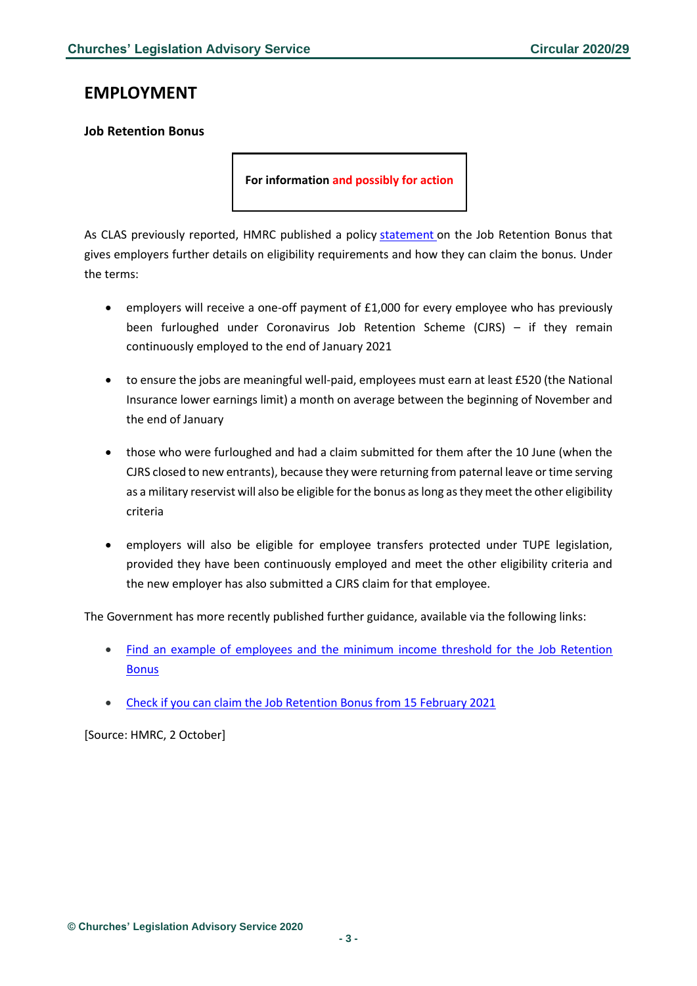### <span id="page-2-0"></span>**EMPLOYMENT**

#### <span id="page-2-1"></span>**Job Retention Bonus**

**For information and possibly for action**

As CLAS previously reported, HMRC published a policy [statement](https://www.gov.uk/government/publications/job-retention-bonus/job-retention-bonus) on the Job Retention Bonus that gives employers further details on eligibility requirements and how they can claim the bonus. Under the terms:

- employers will receive a one-off payment of £1,000 for every employee who has previously been furloughed under Coronavirus Job Retention Scheme (CJRS) – if they remain continuously employed to the end of January 2021
- to ensure the jobs are meaningful well-paid, employees must earn at least £520 (the National Insurance lower earnings limit) a month on average between the beginning of November and the end of January
- those who were furloughed and had a claim submitted for them after the 10 June (when the CJRS closed to new entrants), because they were returning from paternal leave or time serving as a military reservist will also be eligible for the bonus as long as they meet the other eligibility criteria
- employers will also be eligible for employee transfers protected under TUPE legislation, provided they have been continuously employed and meet the other eligibility criteria and the new employer has also submitted a CJRS claim for that employee.

The Government has more recently published further guidance, available via the following links:

- [Find an example of employees and the minimum income threshold for the Job Retention](https://www.gov.uk/government/publications/find-an-example-of-employees-and-the-minimum-income-threshold-for-the-job-retention-bonus)  [Bonus](https://www.gov.uk/government/publications/find-an-example-of-employees-and-the-minimum-income-threshold-for-the-job-retention-bonus)
- [Check if you can claim the Job Retention Bonus from 15 February 2021](https://www.gov.uk/guidance/check-if-you-can-claim-the-job-retention-bonus-from-15-february-2021)

[Source: HMRC, 2 October]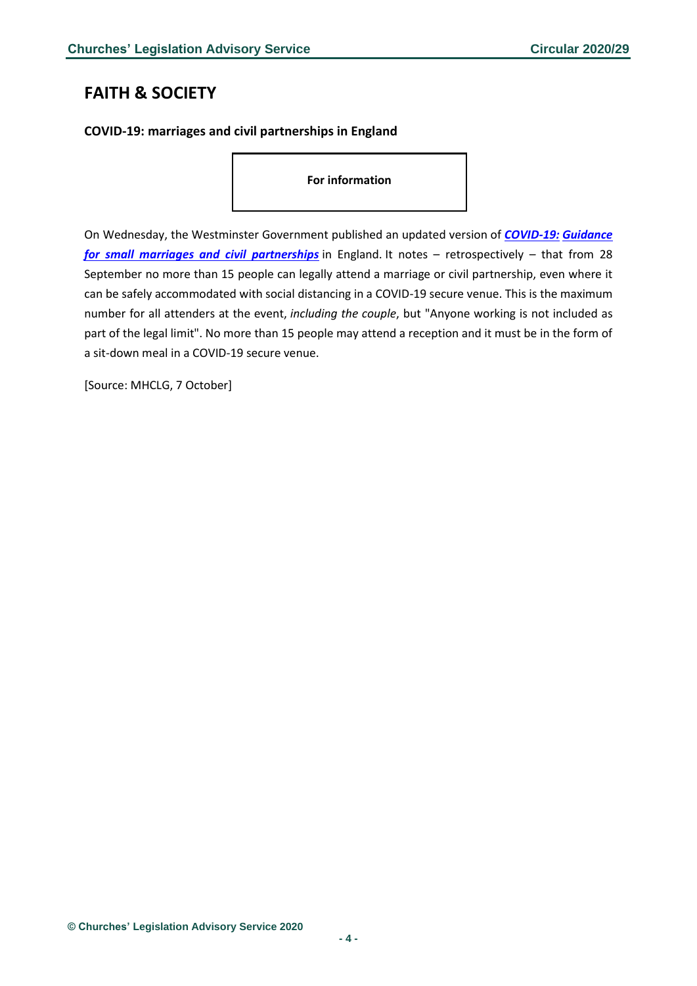# <span id="page-3-0"></span>**FAITH & SOCIETY**

### <span id="page-3-1"></span>**COVID-19: marriages and civil partnerships in England**

**For information**

On Wednesday, the Westminster Government published an updated version of *[COVID-19:](https://www.gov.uk/government/publications/covid-19-guidance-for-small-marriages-and-civil-partnerships/covid-19-guidance-for-small-marriages-and-civil-partnerships) Guidance [for small marriages and civil partnerships](https://www.gov.uk/government/publications/covid-19-guidance-for-small-marriages-and-civil-partnerships/covid-19-guidance-for-small-marriages-and-civil-partnerships)* in England. It notes – retrospectively – that from 28 September no more than 15 people can legally attend a marriage or civil partnership, even where it can be safely accommodated with social distancing in a COVID-19 secure venue. This is the maximum number for all attenders at the event, *including the couple*, but "Anyone working is not included as part of the legal limit". No more than 15 people may attend a reception and it must be in the form of a sit-down meal in a COVID-19 secure venue.

[Source: MHCLG, 7 October]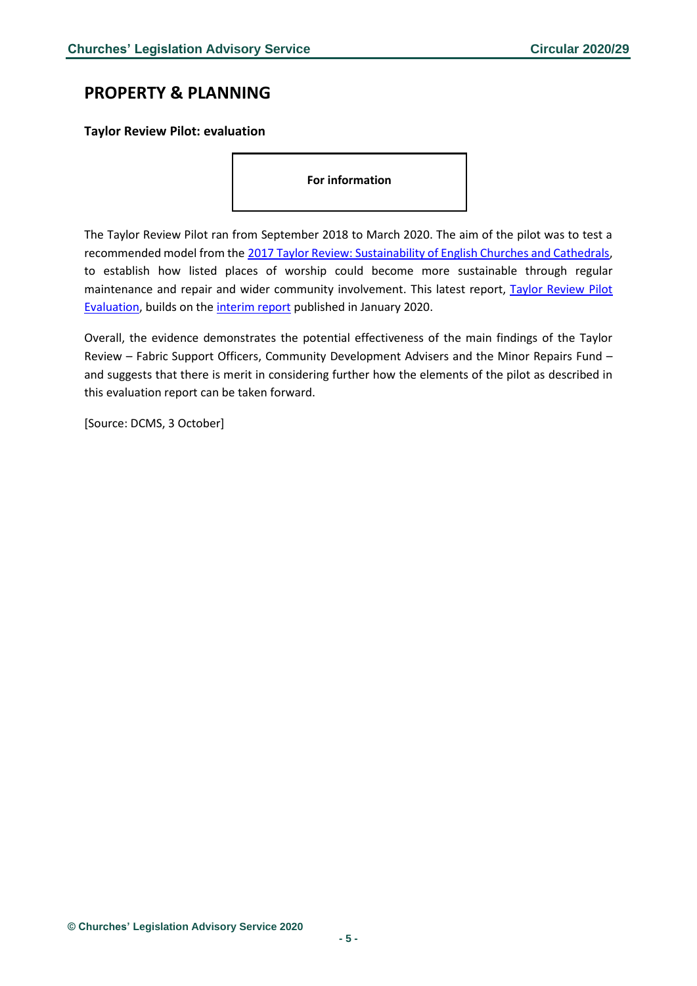# <span id="page-4-0"></span>**PROPERTY & PLANNING**

<span id="page-4-1"></span>**Taylor Review Pilot: evaluation**

**For information**

The Taylor Review Pilot ran from September 2018 to March 2020. The aim of the pilot was to test a recommended model from the [2017 Taylor Review: Sustainability of English Churches and Cathedrals,](https://www.gov.uk/government/publications/the-taylor-review-sustainability-of-english-churches-and-cathedrals) to establish how listed places of worship could become more sustainable through regular maintenance and repair and wider community involvement. This latest report, Taylor Review Pilot [Evaluation,](https://assets.publishing.service.gov.uk/government/uploads/system/uploads/attachment_data/file/923678/Taylor_Review_Pilot_report_-Oct20-FINAL-c.pdf) builds on the [interim report](https://www.gov.uk/government/publications/evaluation-of-the-taylor-review-pilot-emerging-monitoring-and-evaluation-evidence-september-2018-to-march-2019) published in January 2020.

Overall, the evidence demonstrates the potential effectiveness of the main findings of the Taylor Review – Fabric Support Officers, Community Development Advisers and the Minor Repairs Fund – and suggests that there is merit in considering further how the elements of the pilot as described in this evaluation report can be taken forward.

[Source: DCMS, 3 October]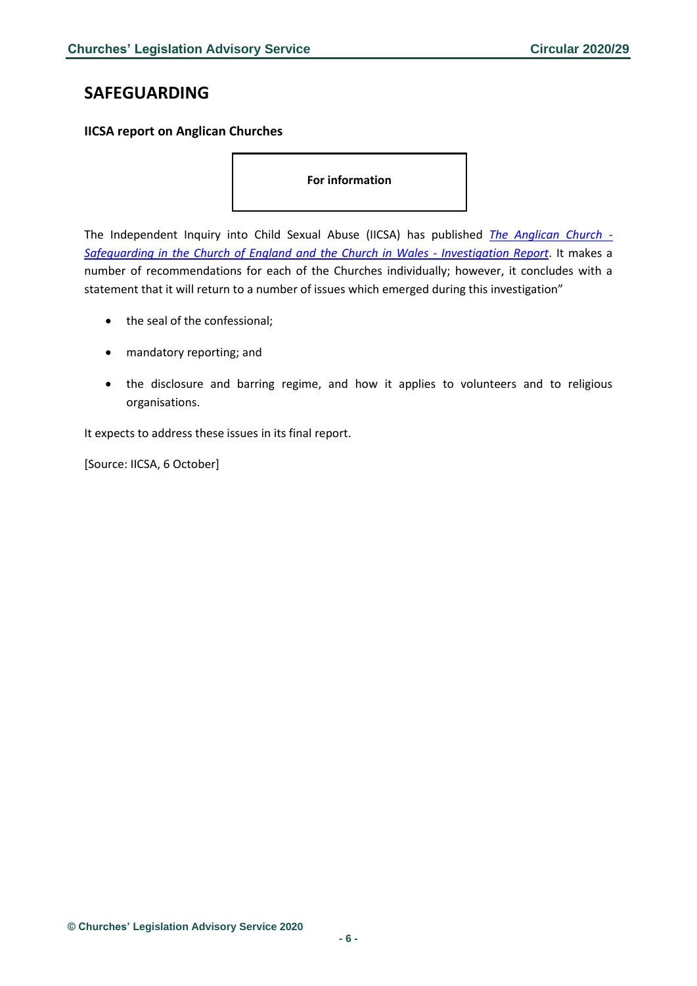# <span id="page-5-0"></span>**SAFEGUARDING**

#### <span id="page-5-1"></span>**IICSA report on Anglican Churches**

**For information**

The Independent Inquiry into Child Sexual Abuse (IICSA) has published *[The Anglican Church -](https://www.iicsa.org.uk/document/anglican-church-safeguarding-church-england-and-church-wales-investigation-report) [Safeguarding in the Church of England and the Church in Wales -](https://www.iicsa.org.uk/document/anglican-church-safeguarding-church-england-and-church-wales-investigation-report) Investigation Report*. It makes a number of recommendations for each of the Churches individually; however, it concludes with a statement that it will return to a number of issues which emerged during this investigation"

- the seal of the confessional;
- mandatory reporting; and
- the disclosure and barring regime, and how it applies to volunteers and to religious organisations.

It expects to address these issues in its final report.

[Source: IICSA, 6 October]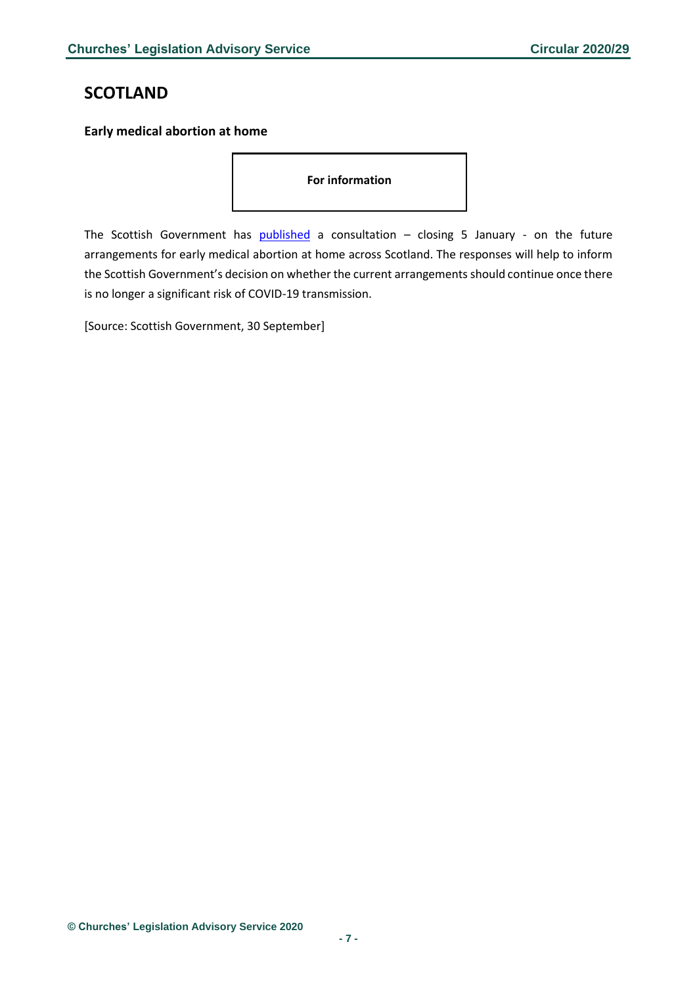# <span id="page-6-0"></span>**SCOTLAND**

#### <span id="page-6-1"></span>**Early medical abortion at home**

**For information**

The Scottish Government has **[published](https://consult.gov.scot/population-health/early-medical-abortion-at-home/)** a consultation  $-$  closing 5 January - on the future arrangements for early medical abortion at home across Scotland. The responses will help to inform the Scottish Government's decision on whether the current arrangements should continue once there is no longer a significant risk of COVID-19 transmission.

[Source: Scottish Government, 30 September]